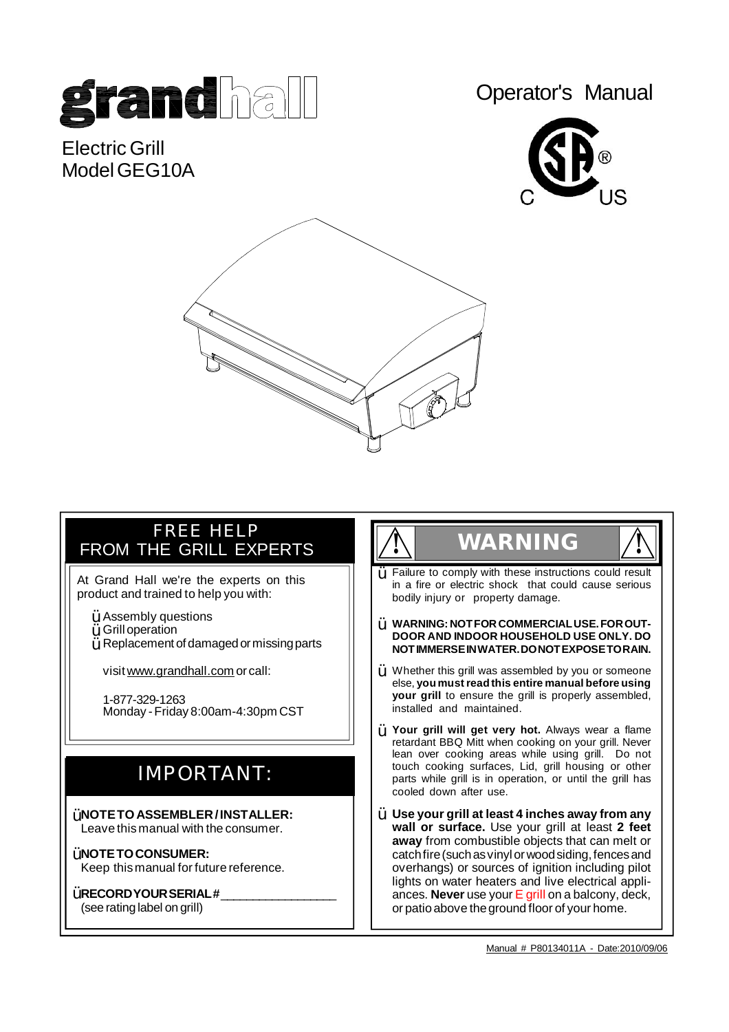

Electric Grill Model GFG10A Operator's Manual





# FREE HELP FROM THE GRILL EXPERTS

At Grand Hall we're the experts on this product and trained to help you with:

- $\ddot{\texttt{Y}}$  Assembly questions
- Grilloperation Ÿ
- Replacement of damagedormissingparts Ÿ

visit [www.grandhall.com](http://www.grandhall.com) or call:

1-877-329-1263 Monday -Friday 8:00am-4:30pm CST

# IMPORTANT:

**NOTETOASSEMBLER/INSTALLER:** Ÿ Ÿ Leave this manual with the consumer.

- **ŸNOTETOCONSUMER:** Keep thismanual for future reference.
- $\breve{\texttt{Y}}$  RECORD YOUR SERIAL # \_\_\_\_\_\_\_\_\_\_\_\_\_\_\_\_\_\_\_\_\_

(see ratinglabel on grill)

# **! WARNING !**



- **WARNING: NOTFORCOMMERCIALUSE.FOROUT-**Ÿ **DOOR AND INDOOR HOUSEHOLD USE ONLY. DO NOTIMMERSEINWATER.DONOTEXPOSETORAIN.**
- $\dot{Y}$  Whether this grill was assembled by you or someone else, **youmustreadthis entire manual before using your grill** to ensure the grill is properly assembled, installed and maintained.
- **Your grill will get very hot.** Always wear a flame Ÿ retardant BBQ Mitt when cooking on your grill. Never lean over cooking areas while using grill. Do not touch cooking surfaces, Lid, grill housing or other parts while grill is in operation, or until the grill has cooled down after use.
- **Use your grill at least 4 inches away from any wall or surface.** Use your grill at least **2 feet away** from combustible objects that can melt or catch fire (such as vinyl or wood siding, fences and overhangs) or sources of ignition including pilot lights on water heaters and live electrical appliances. **Never** use your E grill on a balcony, deck, or patioabove theground floor of your home.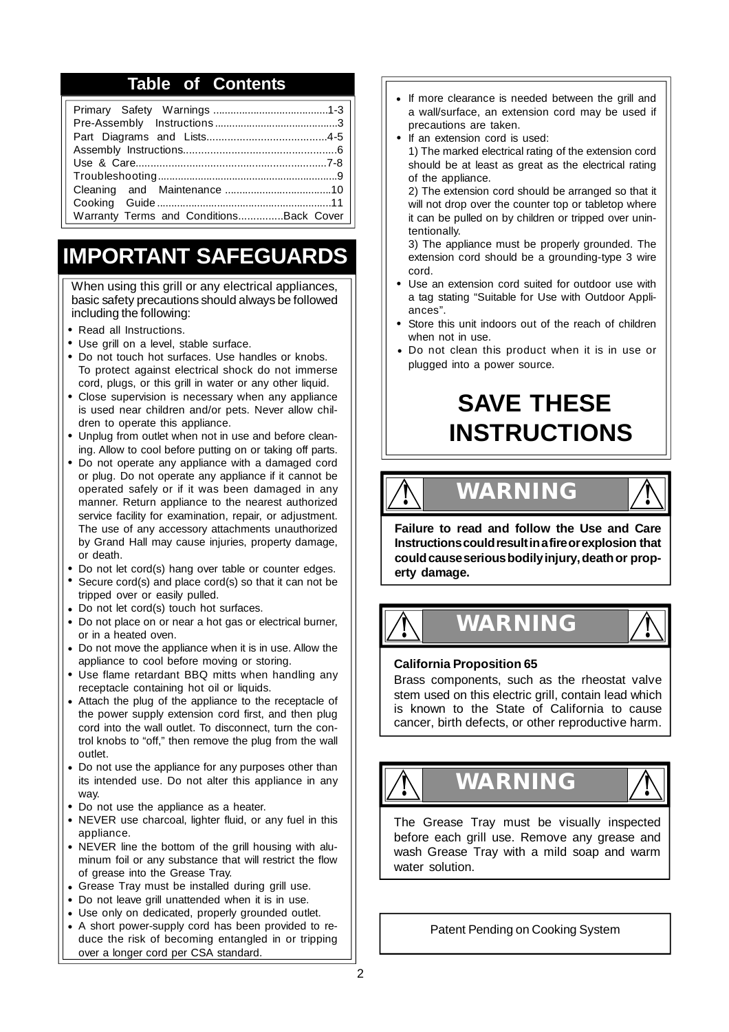### **Table of Contents**

| Warranty Terms and ConditionsBack Cover |  |
|-----------------------------------------|--|
|                                         |  |

# **IMPORTANT SAFEGUARDS**

When using this grill or any electrical appliances, basic safety precautions should always be followed including the following:

- **•** Read all Instructions.
- Use grill on a level, stable surface. **•**
- Do not touch hot surfaces. Use handles or knobs. **•** To protect against electrical shock do not immerse cord, plugs, or this grill in water or any other liquid.
- Close supervision is necessary when any appliance **•** is used near children and/or pets. Never allow children to operate this appliance.
- Unplug from outlet when not in use and before clean-**•** ing. Allow to cool before putting on or taking off parts.
- Do not operate any appliance with a damaged cord **•** or plug. Do not operate any appliance if it cannot be operated safely or if it was been damaged in any manner. Return appliance to the nearest authorized service facility for examination, repair, or adjustment. The use of any accessory attachments unauthorized by Grand Hall may cause injuries, property damage, or death.
- Do not let cord(s) hang over table or counter edges. **•**
- **•** Secure cord(s) and place cord(s) so that it can not be tripped over or easily pulled.
- Do not let cord(s) touch hot surfaces. **•**
- Do not place on or near a hot gas or electrical burner, **•** or in a heated oven.
- Do not move the appliance when it is in use. Allow the **•** appliance to cool before moving or storing.
- Use flame retardant BBQ mitts when handling any **•** receptacle containing hot oil or liquids.
- Attach the plug of the appliance to the receptacle of **•** the power supply extension cord first, and then plug cord into the wall outlet. To disconnect, turn the control knobs to "off," then remove the plug from the wall outlet.
- Do not use the appliance for any purposes other than **•** its intended use. Do not alter this appliance in any way.
- Do not use the appliance as a heater. **•**
- NEVER use charcoal, lighter fluid, or any fuel in this **•** appliance.
- NEVER line the bottom of the grill housing with alu-**•** minum foil or any substance that will restrict the flow of grease into the Grease Tray.
- Grease Tray must be installed during grill use. **•**
- Do not leave grill unattended when it is in use. **•**
- Use only on dedicated, properly grounded outlet. **•**
- A short power-supply cord has been provided to re-**•** duce the risk of becoming entangled in or tripping over a longer cord per CSA standard.
- If more clearance is needed between the grill and a wall/surface, an extension cord may be used if precautions are taken. **•**
- If an extension cord is used: **•**

1) The marked electrical rating of the extension cord should be at least as great as the electrical rating of the appliance.

2) The extension cord should be arranged so that it will not drop over the counter top or tabletop where it can be pulled on by children or tripped over unintentionally.

3) The appliance must be properly grounded. The extension cord should be a grounding-type 3 wire cord.

- Use an extension cord suited for outdoor use with **•** a tag stating "Suitable for Use with Outdoor Appliances".
- **•** Store this unit indoors out of the reach of children when not in use.
- Do not clean this product when it is in use or **•** plugged into a power source.

# **SAVE THESE INSTRUCTIONS**

**! WARN ! ING**



**Failure to read and follow the Use and Care Instructionscouldresultinafireorexplosion that couldcauseseriousbodilyinjury,deathor property damage.**

**! WARN ! ING**

### **California Proposition 65**

Brass components, such as the rheostat valve stem used on this electric grill, contain lead which is known to the State of California to cause cancer, birth defects, or other reproductive harm.





The Grease Tray must be visually inspected before each grill use. Remove any grease and wash Grease Tray with a mild soap and warm water solution.

Patent Pending on Cooking System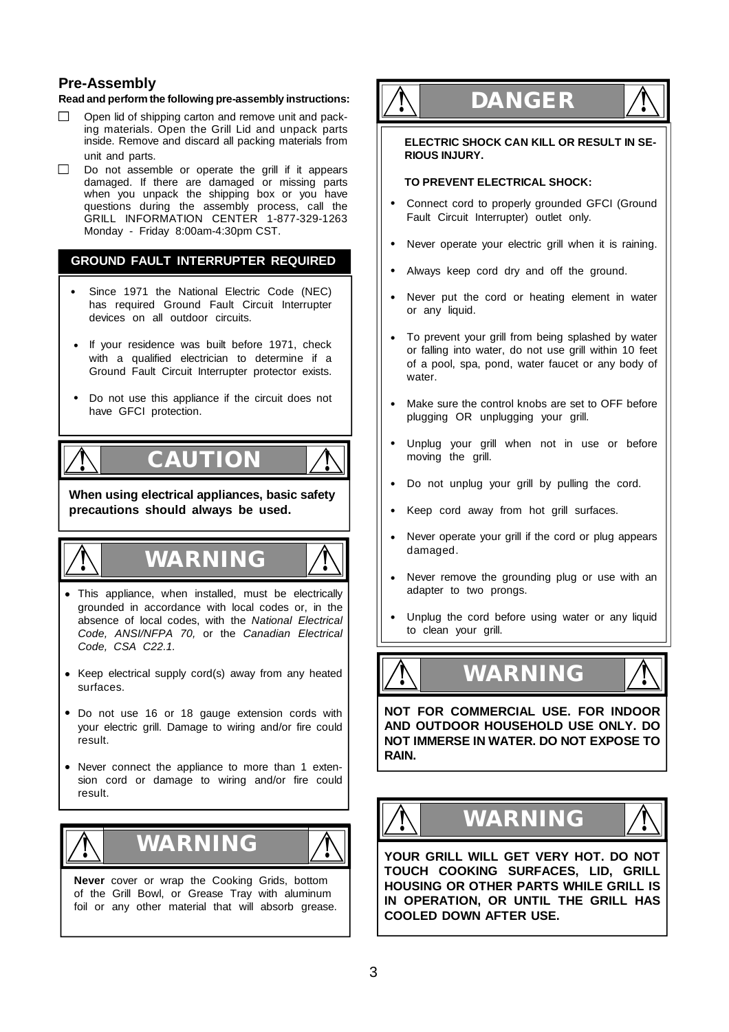### **Pre-Assembly**

### **Read and perform the following pre-assembly instructions:**

- Open lid of shipping carton and remove unit and pack- $\Box$ ing materials. Open the Grill Lid and unpack parts inside. Remove and discard all packing materials from unit and parts.
- $\Box$ Do not assemble or operate the grill if it appears damaged. If there are damaged or missing parts when you unpack the shipping box or you have questions during the assembly process, call the GRILL INFORMATION CENTER 1-877-329-1263 Monday - Friday 8:00am-4:30pm CST.

### **GROUND FAULT INTERRUPTER REQUIRED**

- Since 1971 the National Electric Code (NEC) has required Ground Fault Circuit Interrupter devices on all outdoor circuits.  **•**
- **•** If your residence was built before 1971, check with a qualified electrician to determine if a Ground Fault Circuit Interrupter protector exists.
- Do not use this appliance if the circuit does not **•** have GFCI protection.

# **CAUTION !**

**When using electrical appliances, basic safety precautions should always be used.**



**!**

# **! WARNING !**



- This appliance, when installed, must be electrically **•** grounded in accordance with local codes or, in the absence of local codes, with the *National Electrical Code, ANSI/NFPA 70,* or the *Canadian Electrical Code, CSA C22.1.*
- Keep electrical supply cord(s) away from any heated **•** surfaces.
- Do not use 16 or 18 gauge extension cords with **•** your electric grill. Damage to wiring and/or fire could result.
- Never connect the appliance to more than 1 exten-**•** sion cord or damage to wiring and/or fire could result.





**Never** cover or wrap the Cooking Grids, bottom of the Grill Bowl, or Grease Tray with aluminum foil or any other material that will absorb grease.

# **! DANGER !**

**ELECTRIC SHOCK CAN KILL OR RESULT IN SE-RIOUS INJURY.**

### **TO PREVENT ELECTRICAL SHOCK:**

- Connect cord to properly grounded GFCI (Ground Fault Circuit Interrupter) outlet only. **•**
- Never operate your electric grill when it is raining. **•**
- Always keep cord dry and off the ground. **•**
- Never put the cord or heating element in water or any liquid. **•**
- To prevent your grill from being splashed by water **•** or falling into water, do not use grill within 10 feet of a pool, spa, pond, water faucet or any body of water.
- Make sure the control knobs are set to OFF before plugging OR unplugging your grill. **•**
- Unplug your grill when not in use or before moving the grill. **•**
- Do not unplug your grill by pulling the cord. **•**
- Keep cord away from hot grill surfaces. **•**
- Never operate your grill if the cord or plug appears damaged. **•**
- Never remove the grounding plug or use with an adapter to two prongs. **•**
- Unplug the cord before using water or any liquid to clean your grill. **•**





**NOT FOR COMMERCIAL USE. FOR INDOOR AND OUTDOOR HOUSEHOLD USE ONLY. DO NOT IMMERSE IN WATER. DO NOT EXPOSE TO RAIN.**

**! WARNING !**

**YOUR GRILL WILL GET VERY HOT. DO NOT TOUCH COOKING SURFACES, LID, GRILL HOUSING OR OTHER PARTS WHILE GRILL IS IN OPERATION, OR UNTIL THE GRILL HAS COOLED DOWN AFTER USE.**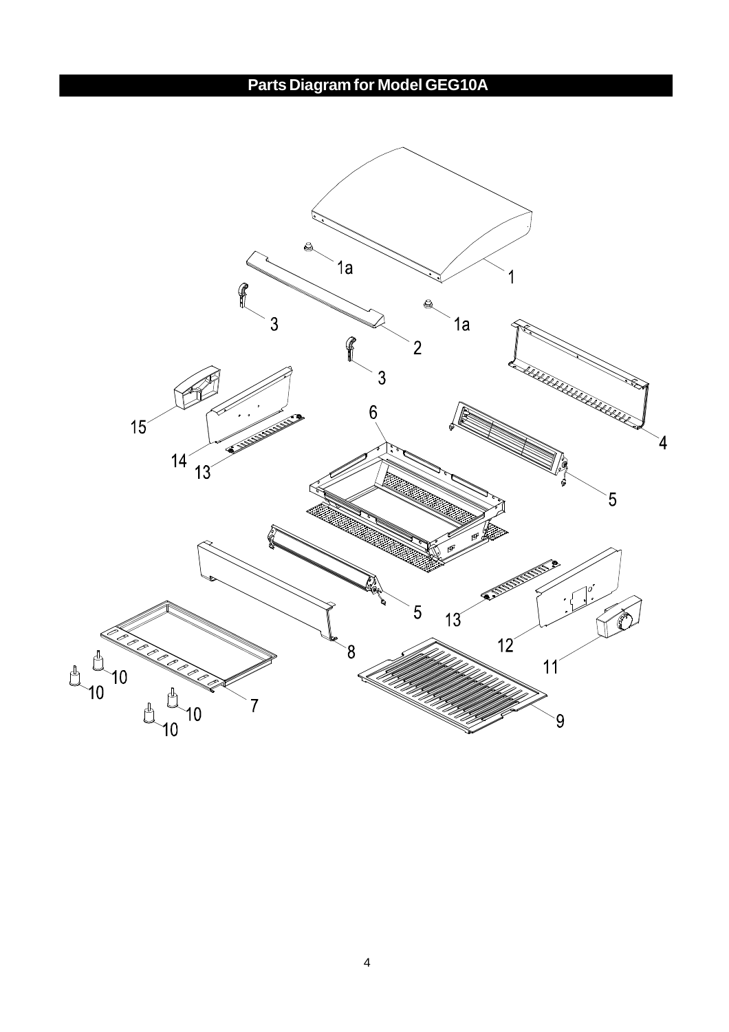**Parts Diagramfor Model GEG10A**

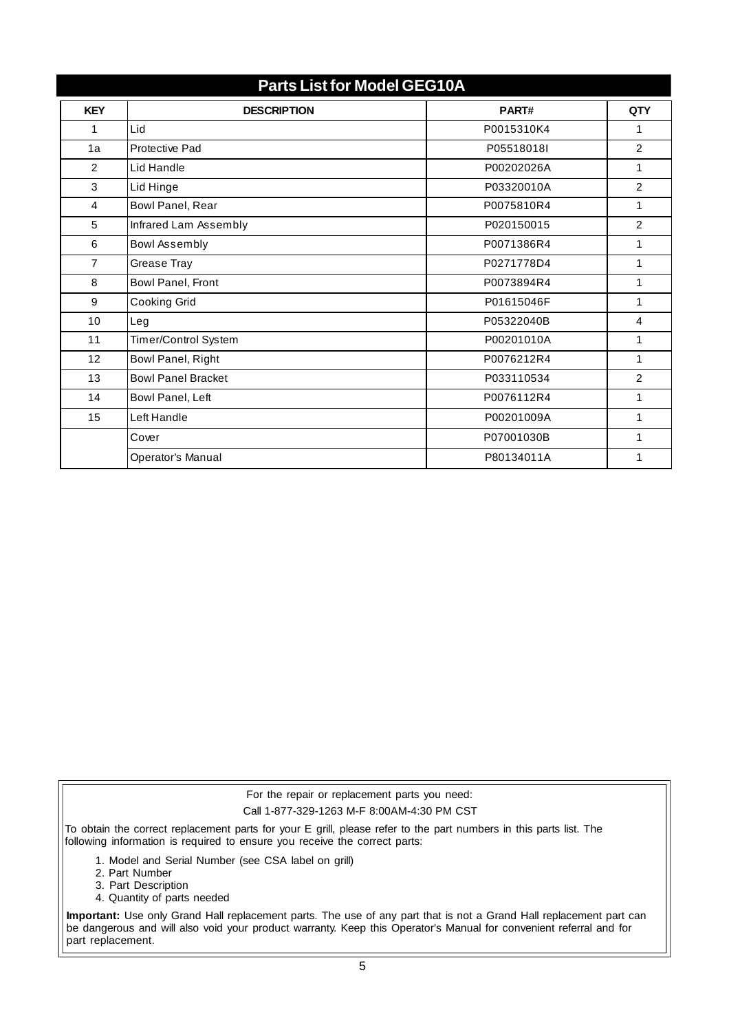| <b>Parts List for Model GEG10A</b> |                           |            |                |  |  |
|------------------------------------|---------------------------|------------|----------------|--|--|
| <b>KEY</b>                         | <b>DESCRIPTION</b>        | PART#      | <b>QTY</b>     |  |  |
| 1                                  | Lid                       | P0015310K4 | 1              |  |  |
| 1a                                 | Protective Pad            | P05518018L | $\overline{2}$ |  |  |
| 2                                  | Lid Handle                | P00202026A | 1              |  |  |
| 3                                  | Lid Hinge                 | P03320010A | $\overline{2}$ |  |  |
| 4                                  | Bowl Panel, Rear          | P0075810R4 | 1              |  |  |
| 5                                  | Infrared Lam Assembly     | P020150015 | 2              |  |  |
| 6                                  | Bowl Assembly             | P0071386R4 | 1              |  |  |
| $\overline{7}$                     | Grease Tray               | P0271778D4 | 1              |  |  |
| 8                                  | Bowl Panel, Front         | P0073894R4 | 1              |  |  |
| 9                                  | Cooking Grid              | P01615046F | 1              |  |  |
| 10                                 | Leg                       | P05322040B | 4              |  |  |
| 11                                 | Timer/Control System      | P00201010A | 1              |  |  |
| 12                                 | Bowl Panel, Right         | P0076212R4 | $\mathbf{1}$   |  |  |
| 13                                 | <b>Bowl Panel Bracket</b> | P033110534 | 2              |  |  |
| 14                                 | Bowl Panel, Left          | P0076112R4 | 1              |  |  |
| 15                                 | Left Handle               | P00201009A | 1              |  |  |
|                                    | Cover                     | P07001030B | 1              |  |  |
|                                    | Operator's Manual         | P80134011A | 1              |  |  |

For the repair or replacement parts you need: Call 1-877-329-1263 M-F 8:00AM-4:30 PM CST

To obtain the correct replacement parts for your E grill, please refer to the part numbers in this parts list. The following information is required to ensure you receive the correct parts:

- 1. Model and Serial Number (see CSA label on grill)
- 2. Part Number
- 3. Part Description
- 4. Quantity of parts needed

**Important:** Use only Grand Hall replacement parts. The use of any part that is not a Grand Hall replacement part can be dangerous and will also void your product warranty. Keep this Operator's Manual for convenient referral and for part replacement.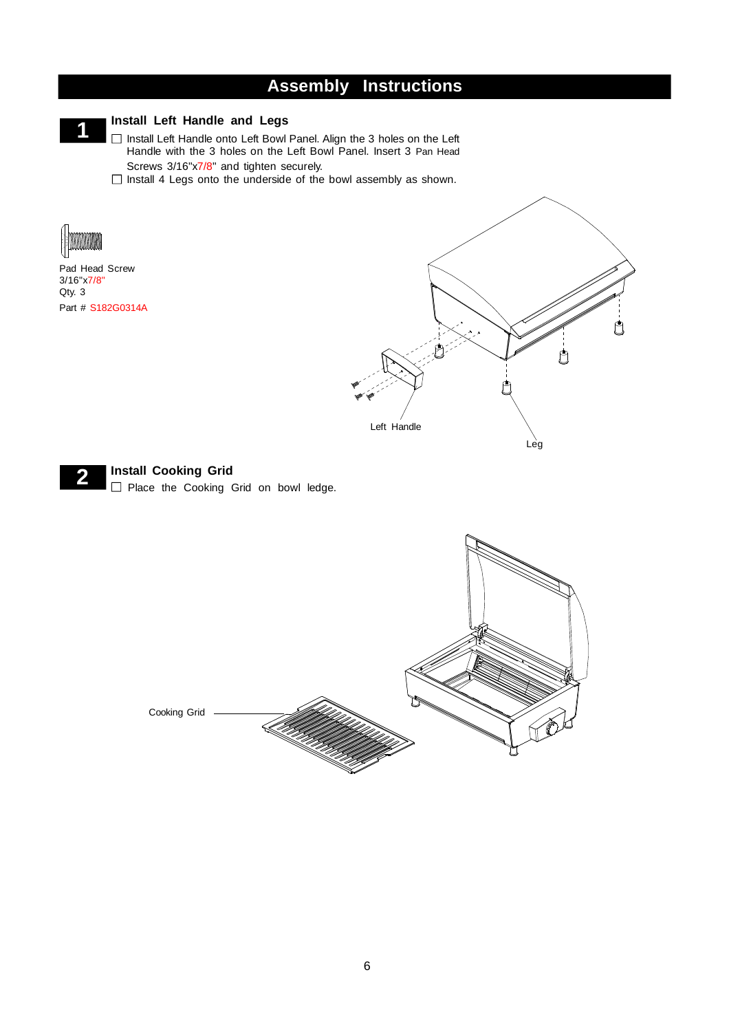# **Assembly Instructions**



### **Install Left Handle and Legs**

□ Install Left Handle onto Left Bowl Panel. Align the 3 holes on the Left Handle with the 3 holes on the Left Bowl Panel. Insert 3 Pan Head Screws 3/16"x7/8" and tighten securely.

 $\Box$  Install 4 Legs onto the underside of the bowl assembly as shown.



Pad Head Screw 3/16"x7/8" Qty. 3 Part # S182G0314A



**Install Cooking Grid 2** Place the Cooking Grid on bowl ledge.

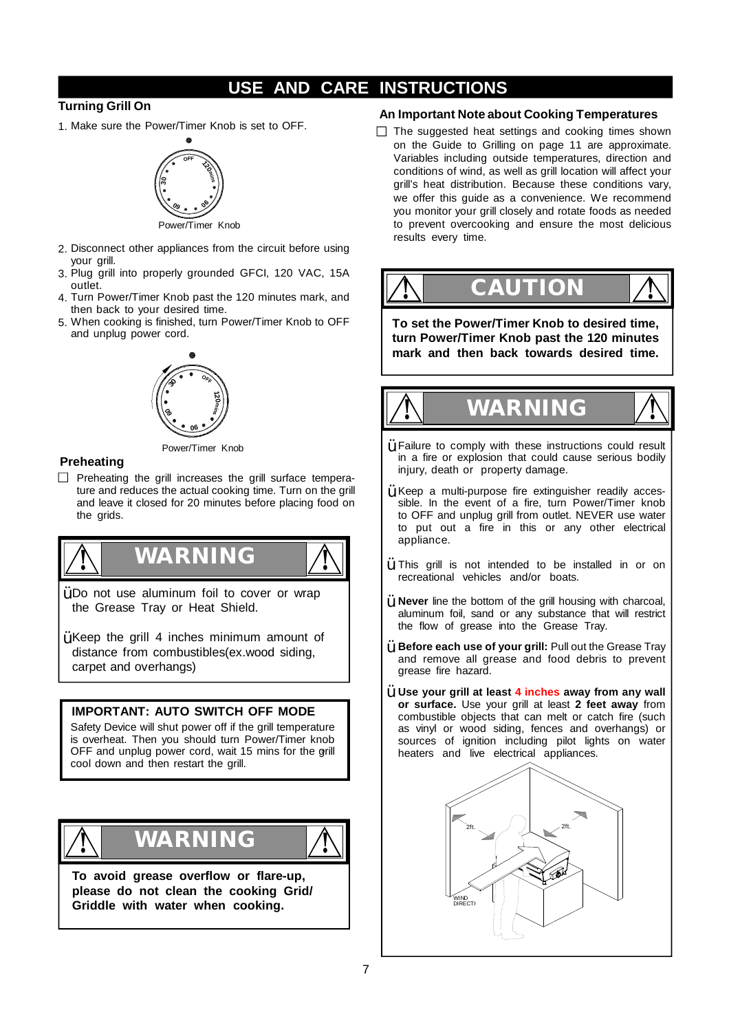# **USE AND CARE INSTRUCTIONS**

### **Turning Grill On**

1. Make sure the Power/Timer Knob is set to OFF.



- 2. Disconnect other appliances from the circuit before using your grill.
- 3. Plug grill into properly grounded GFCI, 120 VAC, 15A outlet.
- 4. Turn Power/Timer Knob past the 120 minutes mark, and then back to your desired time.
- 5. When cooking is finished, turn Power/Timer Knob to OFF and unplug power cord.



Power/Timer Knob

### **Preheating**

 $\Box$  Preheating the grill increases the grill surface temperature and reduces the actual cooking time. Turn on the grill and leave it closed for 20 minutes before placing food on the grids.



 $\ddot{\mathsf{Y}}$  Do not use aluminum foil to cover or wrap the Grease Tray or Heat Shield.

 $\ddot{\mathsf{Y}}$  Keep the grill 4 inches minimum amount of distance from combustibles(ex.wood siding, carpet and overhangs)

### **IMPORTANT: AUTO SWITCH OFF MODE**

Safety Device will shut power off if the grill temperature is overheat. Then you should turn Power/Timer knob OFF and unplug power cord, wait 15 mins for the grill cool down and then restart the grill.



**To avoid grease overflow or flare-up, please do not clean the cooking Grid/ Griddle with water when cooking.**

### **An Important Note about Cooking Temperatures**

 $\Box$  The suggested heat settings and cooking times shown on the Guide to Grilling on page 11 are approximate. Variables including outside temperatures, direction and conditions of wind, as well as grill location will affect your grill's heat distribution. Because these conditions vary, we offer this quide as a convenience. We recommend you monitor your grill closely and rotate foods as needed to prevent overcooking and ensure the most delicious results every time.



**To set the Power/Timer Knob to desired time, turn Power/Timer Knob past the 120 minutes mark and then back towards desired time.**



- $\ddot{Y}$  Failure to comply with these instructions could result in a fire or explosion that could cause serious bodily injury, death or property damage.
- $\gamma$  Keep a multi-purpose fire extinguisher readily accessible. In the event of a fire, turn Power/Timer knob to OFF and unplug grill from outlet. NEVER use water to put out a fire in this or any other electrical appliance.
- $\ddot{Y}$  This grill is not intended to be installed in or on recreational vehicles and/or boats.
- **Never** line the bottom of the grill housing with charcoal, Ÿ aluminum foil, sand or any substance that will restrict the flow of grease into the Grease Tray.
- **Before each use of your grill:** Pull out the Grease Tray Ÿ and remove all grease and food debris to prevent grease fire hazard.
- **Use your grill at least 4 inches away from any wall** Ÿ **or surface.** Use your grill at least **2 feet away** from combustible objects that can melt or catch fire (such as vinyl or wood siding, fences and overhangs) or sources of ignition including pilot lights on water heaters and live electrical appliances.

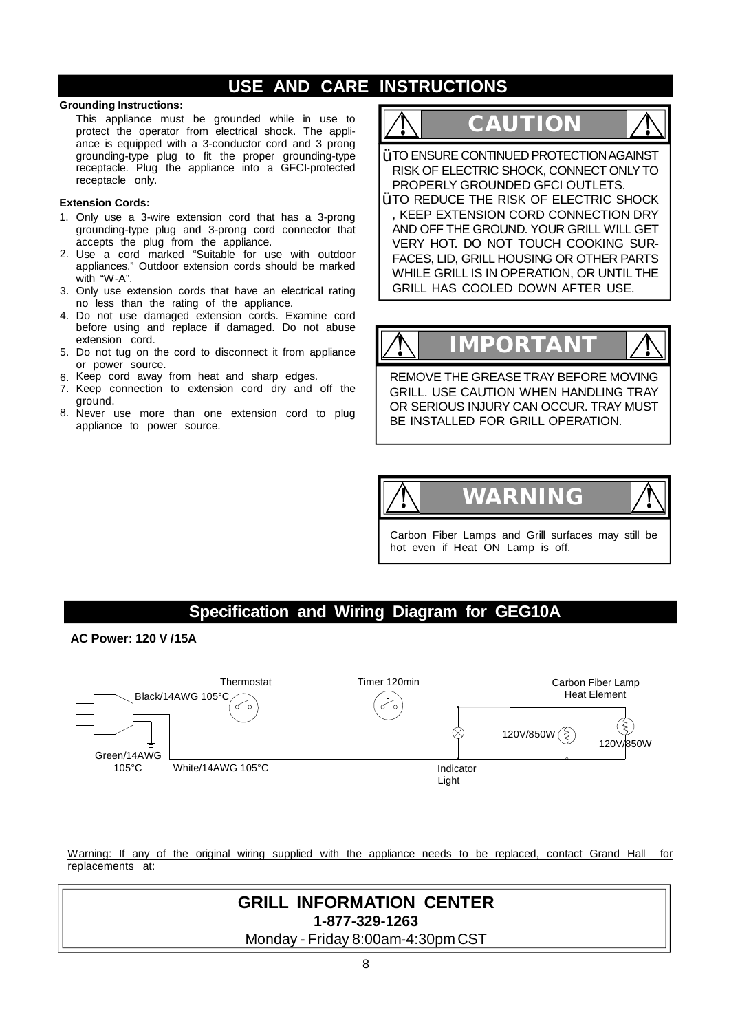## **USE AND CARE INSTRUCTIONS**

### **Grounding Instructions:**

This appliance must be grounded while in use to protect the operator from electrical shock. The appliance is equipped with a 3-conductor cord and 3 prong grounding-type plug to fit the proper grounding-type receptacle. Plug the appliance into a GFCI-protected receptacle only.

### **Extension Cords:**

- Only use a 3-wire extension cord that has a 3-prong 1. grounding-type plug and 3-prong cord connector that accepts the plug from the appliance.
- 2. Use a cord marked "Suitable for use with outdoor appliances." Outdoor extension cords should be marked with "W-A".
- 3. Only use extension cords that have an electrical rating no less than the rating of the appliance.
- 4. Do not use damaged extension cords. Examine cord before using and replace if damaged. Do not abuse extension cord.
- 5. Do not tug on the cord to disconnect it from appliance or power source.
- 6. Keep cord away from heat and sharp edges.
- 7. Keep connection to extension cord dry and off the ground.
- Never use more than one extension cord to plug appliance to power source. 8.

# **! CAUTION !**

 $\breve{\texttt{Y}}$  TO ENSURE CONTINUED PROTECTION AGAINST RISK OF ELECTRIC SHOCK, CONNECT ONLYTO PROPERLY GROUNDED GFCI OUTLETS.

 $\rm \tilde{Y}$  to reduce the risk of electric shock , KEEP EXTENSION CORD CONNECTION DRY AND OFF THE GROUND. YOUR GRILL WILL GET VERY HOT. DO NOT TOUCH COOKING SUR-FACES, LID, GRILL HOUSING OR OTHER PARTS WHILE GRILL IS IN OPERATION, OR UNTIL THE GRILL HAS COOLED DOWN AFTER USE.

# **! IMPORTANT !**

REMOVE THE GREASE TRAY BEFORE MOVING GRILL. USE CAUTION WHEN HANDLING TRAY OR SERIOUS INJURY CAN OCCUR. TRAY MUST BE INSTALLED FOR GRILL OPERATION.



Carbon Fiber Lamps and Grill surfaces may still be hot even if Heat ON Lamp is off.

### **Specification and Wiring Diagram for GEG10A**

**AC Power: 120 V /15A**



Warning: If any of the original wiring supplied with the appliance needs to be replaced, contact Grand Hall for replacements at:

### **GRILL INFORMATION CENTER 1-877-329-1263**

Monday - Friday 8:00am-4:30pm CST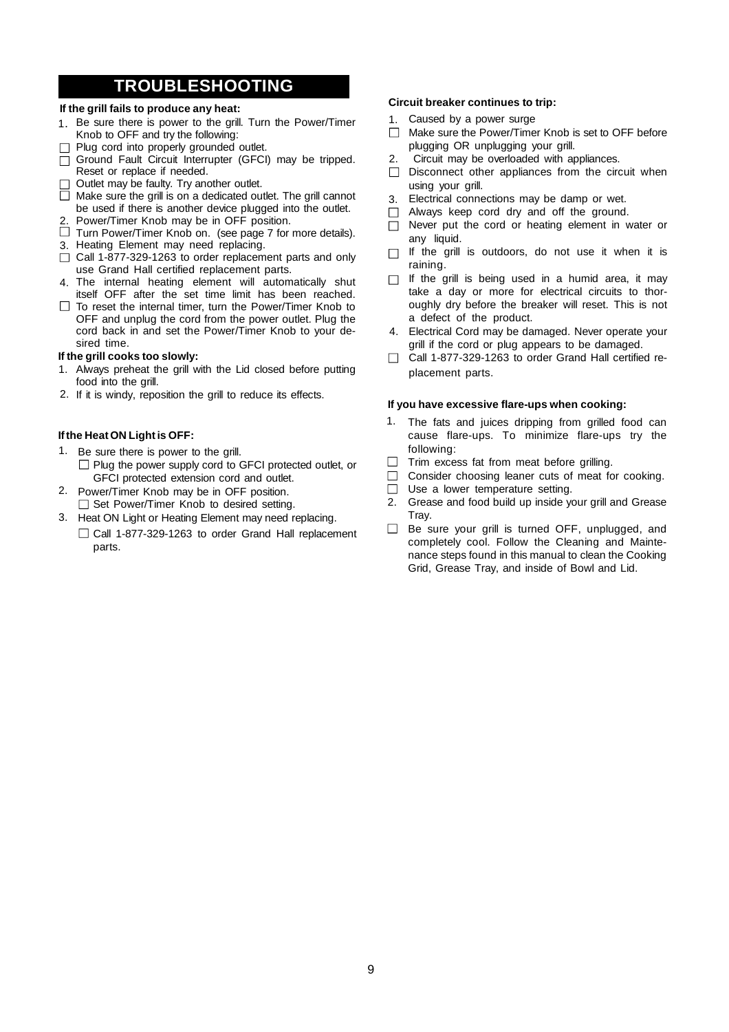# **TROUBLESHOOTING**

### **If the grill fails to produce any heat:**

- 1. Be sure there is power to the grill. Turn the Power/Timer Knob to OFF and try the following:
- $\Box$  Plug cord into properly grounded outlet.
- $\overline{\Box}$  Ground Fault Circuit Interrupter (GFCI) may be tripped. Reset or replace if needed.
- $\Box$  Outlet may be faulty. Try another outlet.
- $\Box$  Make sure the grill is on a dedicated outlet. The grill cannot be used if there is another device plugged into the outlet.
- 2. Power/Timer Knob may be in OFF position.  $\Box$  Turn Power/Timer Knob on. (see page 7 for more details).
- 
- 3. Heating Element may need replacing.
- $\Box$  Call 1-877-329-1263 to order replacement parts and only use Grand Hall certified replacement parts.
- The internal heating element will automatically shut 4. itself OFF after the set time limit has been reached.
- $\Box$  To reset the internal timer, turn the Power/Timer Knob to OFF and unplug the cord from the power outlet. Plug the cord back in and set the Power/Timer Knob to your desired time.

#### **If the grill cooks too slowly:**

- 1. Always preheat the grill with the Lid closed before putting food into the grill.
- 2. If it is windy, reposition the grill to reduce its effects.

### **Ifthe HeatON Lightis OFF:**

- 1. Be sure there is power to the grill.  $\Box$  Plug the power supply cord to GFCI protected outlet, or GFCI protected extension cord and outlet.
- 2. Power/Timer Knob may be in OFF position. □ Set Power/Timer Knob to desired setting.
- 3. Heat ON Light or Heating Element may need replacing. □ Call 1-877-329-1263 to order Grand Hall replacement parts.

### **Circuit breaker continues to trip:**

- 1. Caused by a power surge
- $\Box$  Make sure the Power/Timer Knob is set to OFF before plugging OR unplugging your grill.
- Circuit may be overloaded with appliances. 2.
- $\Box$  Disconnect other appliances from the circuit when using your grill.
- Electrical connections may be damp or wet. 3.
- Always keep cord dry and off the ground.  $\Box$
- $\Box$  Never put the cord or heating element in water or any liquid.
- $\Box$  If the grill is outdoors, do not use it when it is raining.
- $\Box$  If the grill is being used in a humid area, it may take a day or more for electrical circuits to thoroughly dry before the breaker will reset. This is not a defect of the product.
- Electrical Cord may be damaged. Never operate your 4. grill if the cord or plug appears to be damaged.
- □ Call 1-877-329-1263 to order Grand Hall certified replacement parts.

#### **If you have excessive flare-ups when cooking:**

- 1. The fats and juices dripping from grilled food can cause flare-ups. To minimize flare-ups try the following:
- $\Box$ Trim excess fat from meat before grilling.
- Consider choosing leaner cuts of meat for cooking.  $\Box$
- Use a lower temperature setting.  $\Box$
- Grease and food build up inside your grill and Grease Tray. 2.
- $\Box$  Be sure your grill is turned OFF, unplugged, and completely cool. Follow the Cleaning and Maintenance steps found in this manual to clean the Cooking Grid, Grease Tray, and inside of Bowl and Lid.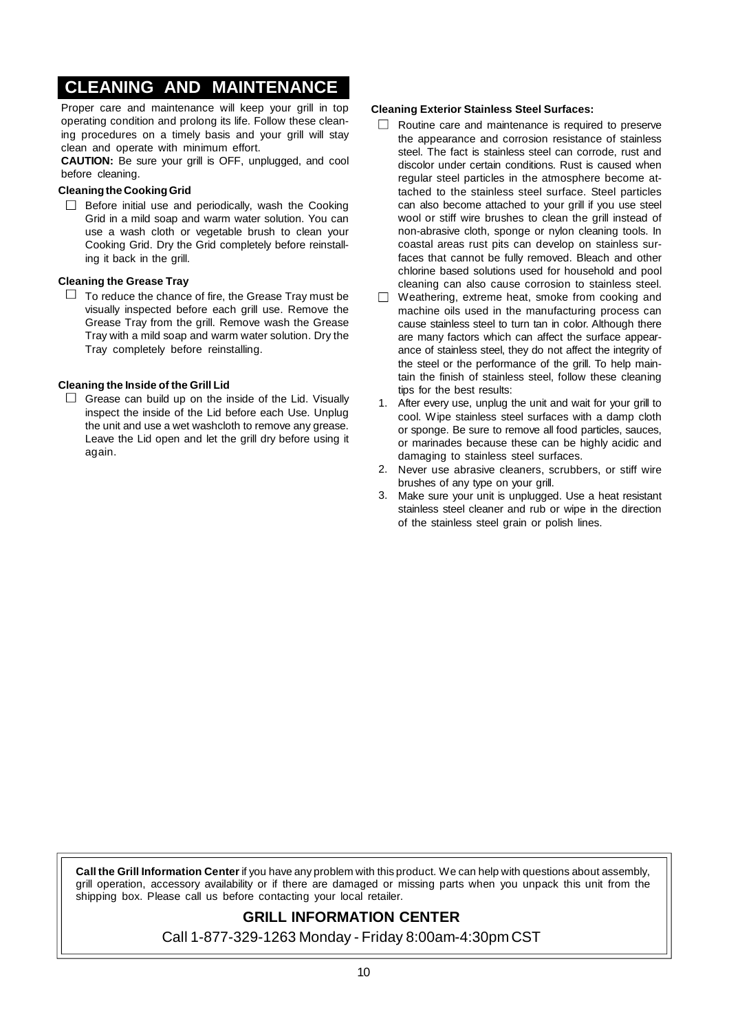# **CLEANING AND MAINTENANCE**

Proper care and maintenance will keep your grill in top operating condition and prolong its life. Follow these cleaning procedures on a timely basis and your grill will stay clean and operate with minimum effort.

**CAUTION:** Be sure your grill is OFF, unplugged, and cool before cleaning.

### **Cleaningthe CookingGrid**

 $\Box$  Before initial use and periodically, wash the Cooking Grid in a mild soap and warm water solution. You can use a wash cloth or vegetable brush to clean your Cooking Grid. Dry the Grid completely before reinstalling it back in the grill.

### **Cleaning the Grease Tray**

 $\Box$  To reduce the chance of fire, the Grease Tray must be visually inspected before each grill use. Remove the Grease Tray from the grill. Remove wash the Grease Tray with a mild soap and warm water solution. Dry the Tray completely before reinstalling.

### **Cleaning the Inside of the Grill Lid**

 $\Box$  Grease can build up on the inside of the Lid. Visually inspect the inside of the Lid before each Use. Unplug the unit and use a wet washcloth to remove any grease. Leave the Lid open and let the grill dry before using it again.

### **Cleaning Exterior Stainless Steel Surfaces:**

- $\Box$ Routine care and maintenance is required to preserve the appearance and corrosion resistance of stainless steel. The fact is stainless steel can corrode, rust and discolor under certain conditions. Rust is caused when regular steel particles in the atmosphere become attached to the stainless steel surface. Steel particles can also become attached to your grill if you use steel wool or stiff wire brushes to clean the grill instead of non-abrasive cloth, sponge or nylon cleaning tools. In coastal areas rust pits can develop on stainless surfaces that cannot be fully removed. Bleach and other chlorine based solutions used for household and pool cleaning can also cause corrosion to stainless steel.
- $\Box$  Weathering, extreme heat, smoke from cooking and machine oils used in the manufacturing process can cause stainless steel to turn tan in color. Although there are many factors which can affect the surface appearance of stainless steel, they do not affect the integrity of the steel or the performance of the grill. To help maintain the finish of stainless steel, follow these cleaning tips for the best results:
- 1. After every use, unplug the unit and wait for your grill to cool. Wipe stainless steel surfaces with a damp cloth or sponge. Be sure to remove all food particles, sauces, or marinades because these can be highly acidic and damaging to stainless steel surfaces.
- 2. Never use abrasive cleaners, scrubbers, or stiff wire brushes of any type on your grill.
- Make sure your unit is unplugged. Use a heat resistant 3. stainless steel cleaner and rub or wipe in the direction of the stainless steel grain or polish lines.

**Call the Grill Information Center** if you have any problem with this product. We can help with questions about assembly, grill operation, accessory availability or if there are damaged or missing parts when you unpack this unit from the shipping box. Please call us before contacting your local retailer.

### **GRILL INFORMATION CENTER**

Call 1-877-329-1263 Monday - Friday 8:00am-4:30pm CST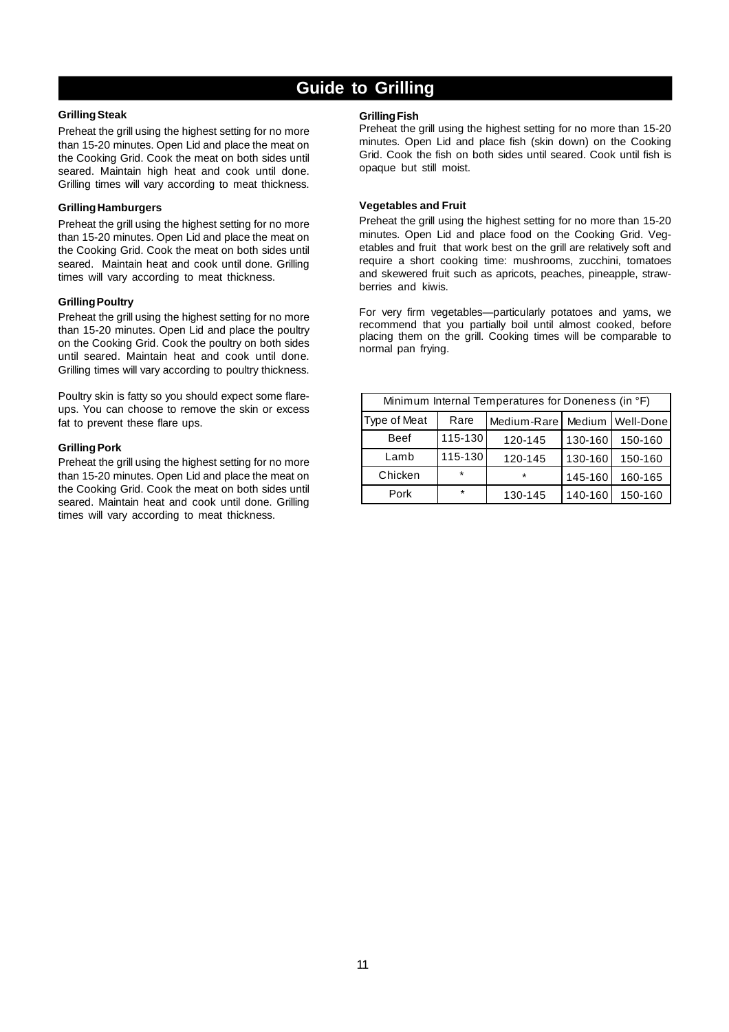# **Guide to Grilling**

### **GrillingSteak**

Preheat the grill using the highest setting for no more than 15-20 minutes. Open Lid and place the meat on the Cooking Grid. Cook the meat on both sides until seared. Maintain high heat and cook until done. Grilling times will vary according to meat thickness.

#### **GrillingHamburgers**

Preheat the grill using the highest setting for no more than 15-20 minutes. Open Lid and place the meat on the Cooking Grid. Cook the meat on both sides until seared. Maintain heat and cook until done. Grilling times will vary according to meat thickness.

#### **GrillingPoultry**

Preheat the grill using the highest setting for no more than 15-20 minutes. Open Lid and place the poultry on the Cooking Grid. Cook the poultry on both sides until seared. Maintain heat and cook until done. Grilling times will vary according to poultry thickness.

Poultry skin is fatty so you should expect some flareups. You can choose to remove the skin or excess fat to prevent these flare ups.

#### **GrillingPork**

Preheat the grill using the highest setting for no more than 15-20 minutes. Open Lid and place the meat on the Cooking Grid. Cook the meat on both sides until seared. Maintain heat and cook until done. Grilling times will vary according to meat thickness.

#### **GrillingFish**

Preheat the grill using the highest setting for no more than 15-20 minutes. Open Lid and place fish (skin down) on the Cooking Grid. Cook the fish on both sides until seared. Cook until fish is opaque but still moist.

#### **Vegetables and Fruit**

Preheat the grill using the highest setting for no more than 15-20 minutes. Open Lid and place food on the Cooking Grid. Vegetables and fruit that work best on the grill are relatively soft and require a short cooking time: mushrooms, zucchini, tomatoes and skewered fruit such as apricots, peaches, pineapple, strawberries and kiwis.

For very firm vegetables—particularly potatoes and yams, we recommend that you partially boil until almost cooked, before placing them on the grill. Cooking times will be comparable to normal pan frying.

| Minimum Internal Temperatures for Doneness (in °F) |         |             |         |           |  |  |
|----------------------------------------------------|---------|-------------|---------|-----------|--|--|
| Type of Meat                                       | Rare    | Medium-Rare | Medium  | Well-Done |  |  |
| <b>Beef</b>                                        | 115-130 | 120-145     | 130-160 | 150-160   |  |  |
| Lamb                                               | 115-130 | 120-145     | 130-160 | 150-160   |  |  |
| Chicken                                            | *       | $\star$     | 145-160 | 160-165   |  |  |
| Pork                                               | $\star$ | 130-145     | 140-160 | 150-160   |  |  |